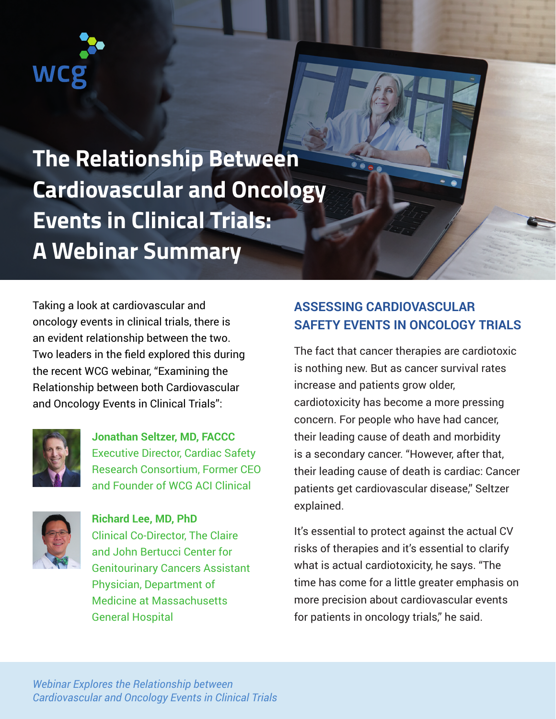## WC

**The Relationship Between Cardiovascular and Oncology Events in Clinical Trials: A Webinar Summary**

Taking a look at cardiovascular and oncology events in clinical trials, there is an evident relationship between the two. Two leaders in the field explored this during the recent WCG webinar, "Examining the Relationship between both Cardiovascular and Oncology Events in Clinical Trials":



**Jonathan Seltzer, MD, FACCC** Executive Director, Cardiac Safety Research Consortium, Former CEO and Founder of WCG ACI Clinical



**Richard Lee, MD, PhD** Clinical Co-Director, The Claire and John Bertucci Center for Genitourinary Cancers Assistant Physician, Department of Medicine at Massachusetts General Hospital

## **ASSESSING CARDIOVASCULAR SAFETY EVENTS IN ONCOLOGY TRIALS**

The fact that cancer therapies are cardiotoxic is nothing new. But as cancer survival rates increase and patients grow older, cardiotoxicity has become a more pressing concern. For people who have had cancer, their leading cause of death and morbidity is a secondary cancer. "However, after that, their leading cause of death is cardiac: Cancer patients get cardiovascular disease," Seltzer explained.

It's essential to protect against the actual CV risks of therapies and it's essential to clarify what is actual cardiotoxicity, he says. "The time has come for a little greater emphasis on more precision about cardiovascular events for patients in oncology trials," he said.